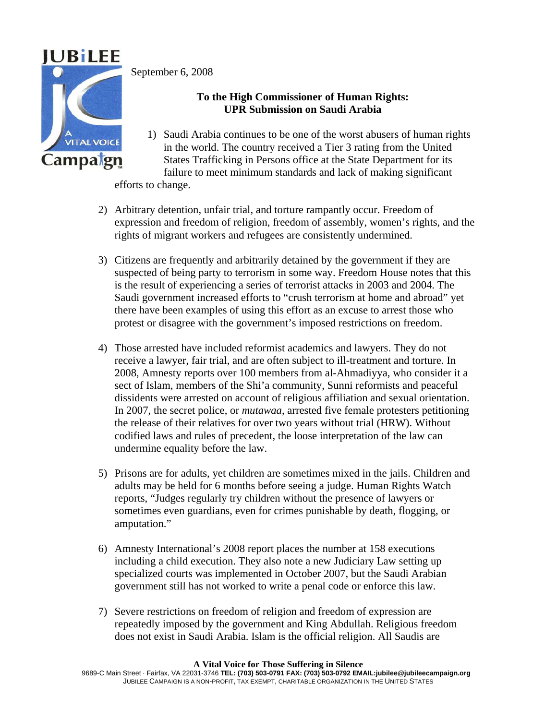

September 6, 2008

## **To the High Commissioner of Human Rights: UPR Submission on Saudi Arabia**

- 1) Saudi Arabia continues to be one of the worst abusers of human rights in the world. The country received a Tier 3 rating from the United States Trafficking in Persons office at the State Department for its failure to meet minimum standards and lack of making significant efforts to change.
- 2) Arbitrary detention, unfair trial, and torture rampantly occur. Freedom of expression and freedom of religion, freedom of assembly, women's rights, and the rights of migrant workers and refugees are consistently undermined.
- 3) Citizens are frequently and arbitrarily detained by the government if they are suspected of being party to terrorism in some way. Freedom House notes that this is the result of experiencing a series of terrorist attacks in 2003 and 2004. The Saudi government increased efforts to "crush terrorism at home and abroad" yet there have been examples of using this effort as an excuse to arrest those who protest or disagree with the government's imposed restrictions on freedom.
- 4) Those arrested have included reformist academics and lawyers. They do not receive a lawyer, fair trial, and are often subject to ill-treatment and torture. In 2008, Amnesty reports over 100 members from al-Ahmadiyya, who consider it a sect of Islam, members of the Shi'a community, Sunni reformists and peaceful dissidents were arrested on account of religious affiliation and sexual orientation. In 2007, the secret police, or *mutawaa*, arrested five female protesters petitioning the release of their relatives for over two years without trial (HRW). Without codified laws and rules of precedent, the loose interpretation of the law can undermine equality before the law.
- 5) Prisons are for adults, yet children are sometimes mixed in the jails. Children and adults may be held for 6 months before seeing a judge. Human Rights Watch reports, "Judges regularly try children without the presence of lawyers or sometimes even guardians, even for crimes punishable by death, flogging, or amputation."
- 6) Amnesty International's 2008 report places the number at 158 executions including a child execution. They also note a new Judiciary Law setting up specialized courts was implemented in October 2007, but the Saudi Arabian government still has not worked to write a penal code or enforce this law.
- 7) Severe restrictions on freedom of religion and freedom of expression are repeatedly imposed by the government and King Abdullah. Religious freedom does not exist in Saudi Arabia. Islam is the official religion. All Saudis are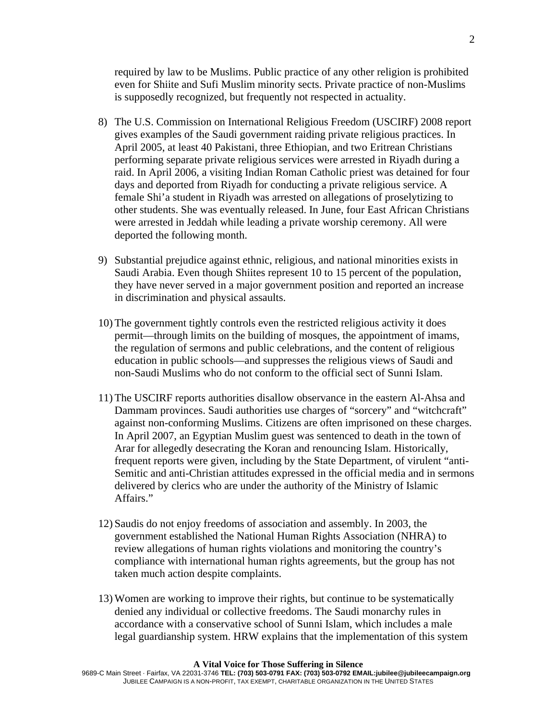required by law to be Muslims. Public practice of any other religion is prohibited even for Shiite and Sufi Muslim minority sects. Private practice of non-Muslims is supposedly recognized, but frequently not respected in actuality.

- 8) The U.S. Commission on International Religious Freedom (USCIRF) 2008 report gives examples of the Saudi government raiding private religious practices. In April 2005, at least 40 Pakistani, three Ethiopian, and two Eritrean Christians performing separate private religious services were arrested in Riyadh during a raid. In April 2006, a visiting Indian Roman Catholic priest was detained for four days and deported from Riyadh for conducting a private religious service. A female Shi'a student in Riyadh was arrested on allegations of proselytizing to other students. She was eventually released. In June, four East African Christians were arrested in Jeddah while leading a private worship ceremony. All were deported the following month.
- 9) Substantial prejudice against ethnic, religious, and national minorities exists in Saudi Arabia. Even though Shiites represent 10 to 15 percent of the population, they have never served in a major government position and reported an increase in discrimination and physical assaults.
- 10) The government tightly controls even the restricted religious activity it does permit—through limits on the building of mosques, the appointment of imams, the regulation of sermons and public celebrations, and the content of religious education in public schools—and suppresses the religious views of Saudi and non-Saudi Muslims who do not conform to the official sect of Sunni Islam.
- 11) The USCIRF reports authorities disallow observance in the eastern Al-Ahsa and Dammam provinces. Saudi authorities use charges of "sorcery" and "witchcraft" against non-conforming Muslims. Citizens are often imprisoned on these charges. In April 2007, an Egyptian Muslim guest was sentenced to death in the town of Arar for allegedly desecrating the Koran and renouncing Islam. Historically, frequent reports were given, including by the State Department, of virulent "anti-Semitic and anti-Christian attitudes expressed in the official media and in sermons delivered by clerics who are under the authority of the Ministry of Islamic Affairs."
- 12) Saudis do not enjoy freedoms of association and assembly. In 2003, the government established the National Human Rights Association (NHRA) to review allegations of human rights violations and monitoring the country's compliance with international human rights agreements, but the group has not taken much action despite complaints.
- 13) Women are working to improve their rights, but continue to be systematically denied any individual or collective freedoms. The Saudi monarchy rules in accordance with a conservative school of Sunni Islam, which includes a male legal guardianship system. HRW explains that the implementation of this system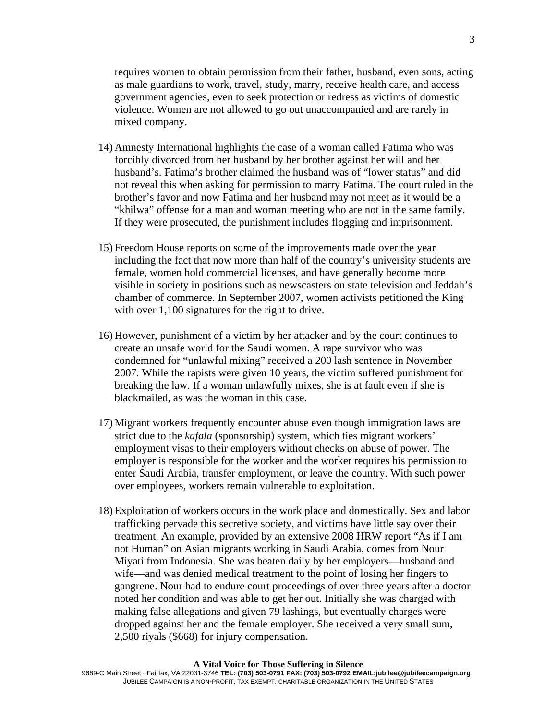requires women to obtain permission from their father, husband, even sons, acting as male guardians to work, travel, study, marry, receive health care, and access government agencies, even to seek protection or redress as victims of domestic violence. Women are not allowed to go out unaccompanied and are rarely in mixed company.

- 14) Amnesty International highlights the case of a woman called Fatima who was forcibly divorced from her husband by her brother against her will and her husband's. Fatima's brother claimed the husband was of "lower status" and did not reveal this when asking for permission to marry Fatima. The court ruled in the brother's favor and now Fatima and her husband may not meet as it would be a "khilwa" offense for a man and woman meeting who are not in the same family. If they were prosecuted, the punishment includes flogging and imprisonment.
- 15) Freedom House reports on some of the improvements made over the year including the fact that now more than half of the country's university students are female, women hold commercial licenses, and have generally become more visible in society in positions such as newscasters on state television and Jeddah's chamber of commerce. In September 2007, women activists petitioned the King with over 1,100 signatures for the right to drive.
- 16) However, punishment of a victim by her attacker and by the court continues to create an unsafe world for the Saudi women. A rape survivor who was condemned for "unlawful mixing" received a 200 lash sentence in November 2007. While the rapists were given 10 years, the victim suffered punishment for breaking the law. If a woman unlawfully mixes, she is at fault even if she is blackmailed, as was the woman in this case.
- 17) Migrant workers frequently encounter abuse even though immigration laws are strict due to the *kafala* (sponsorship) system, which ties migrant workers' employment visas to their employers without checks on abuse of power. The employer is responsible for the worker and the worker requires his permission to enter Saudi Arabia, transfer employment, or leave the country. With such power over employees, workers remain vulnerable to exploitation.
- 18) Exploitation of workers occurs in the work place and domestically. Sex and labor trafficking pervade this secretive society, and victims have little say over their treatment. An example, provided by an extensive 2008 HRW report "As if I am not Human" on Asian migrants working in Saudi Arabia, comes from Nour Miyati from Indonesia. She was beaten daily by her employers—husband and wife—and was denied medical treatment to the point of losing her fingers to gangrene. Nour had to endure court proceedings of over three years after a doctor noted her condition and was able to get her out. Initially she was charged with making false allegations and given 79 lashings, but eventually charges were dropped against her and the female employer. She received a very small sum, 2,500 riyals (\$668) for injury compensation.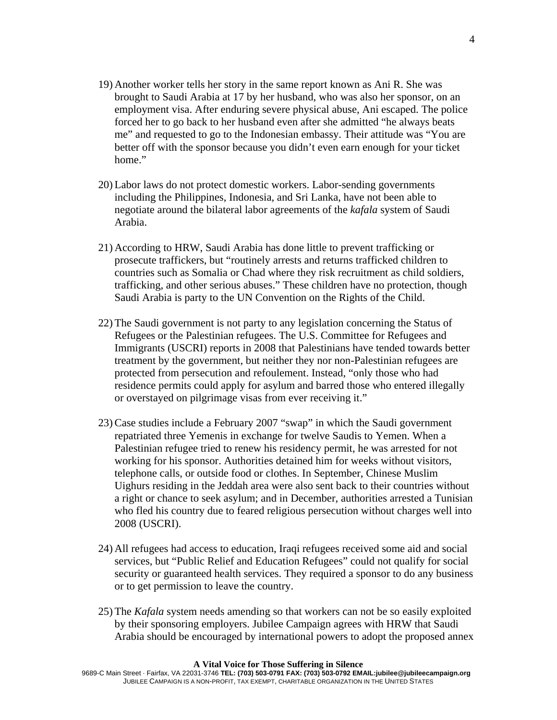- 19) Another worker tells her story in the same report known as Ani R. She was brought to Saudi Arabia at 17 by her husband, who was also her sponsor, on an employment visa. After enduring severe physical abuse, Ani escaped. The police forced her to go back to her husband even after she admitted "he always beats me" and requested to go to the Indonesian embassy. Their attitude was "You are better off with the sponsor because you didn't even earn enough for your ticket home."
- 20) Labor laws do not protect domestic workers. Labor-sending governments including the Philippines, Indonesia, and Sri Lanka, have not been able to negotiate around the bilateral labor agreements of the *kafala* system of Saudi Arabia.
- 21) According to HRW, Saudi Arabia has done little to prevent trafficking or prosecute traffickers, but "routinely arrests and returns trafficked children to countries such as Somalia or Chad where they risk recruitment as child soldiers, trafficking, and other serious abuses." These children have no protection, though Saudi Arabia is party to the UN Convention on the Rights of the Child.
- 22) The Saudi government is not party to any legislation concerning the Status of Refugees or the Palestinian refugees. The U.S. Committee for Refugees and Immigrants (USCRI) reports in 2008 that Palestinians have tended towards better treatment by the government, but neither they nor non-Palestinian refugees are protected from persecution and refoulement. Instead, "only those who had residence permits could apply for asylum and barred those who entered illegally or overstayed on pilgrimage visas from ever receiving it."
- 23) Case studies include a February 2007 "swap" in which the Saudi government repatriated three Yemenis in exchange for twelve Saudis to Yemen. When a Palestinian refugee tried to renew his residency permit, he was arrested for not working for his sponsor. Authorities detained him for weeks without visitors, telephone calls, or outside food or clothes. In September, Chinese Muslim Uighurs residing in the Jeddah area were also sent back to their countries without a right or chance to seek asylum; and in December, authorities arrested a Tunisian who fled his country due to feared religious persecution without charges well into 2008 (USCRI).
- 24) All refugees had access to education, Iraqi refugees received some aid and social services, but "Public Relief and Education Refugees" could not qualify for social security or guaranteed health services. They required a sponsor to do any business or to get permission to leave the country.
- 25) The *Kafala* system needs amending so that workers can not be so easily exploited by their sponsoring employers. Jubilee Campaign agrees with HRW that Saudi Arabia should be encouraged by international powers to adopt the proposed annex